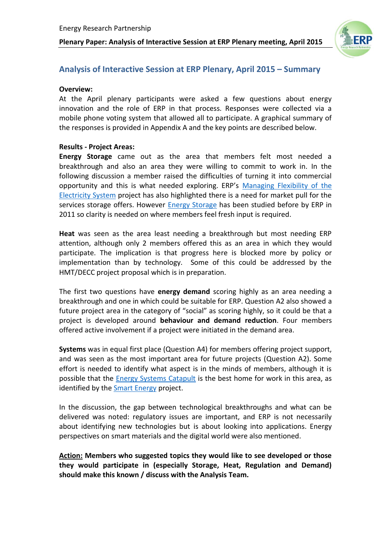

### **Analysis of Interactive Session at ERP Plenary, April 2015 – Summary**

#### **Overview:**

At the April plenary participants were asked a few questions about energy innovation and the role of ERP in that process. Responses were collected via a mobile phone voting system that allowed all to participate. A graphical summary of the responses is provided in Appendix A and the key points are described below.

#### **Results - Project Areas:**

**Energy Storage** came out as the area that members felt most needed a breakthrough and also an area they were willing to commit to work in. In the following discussion a member raised the difficulties of turning it into commercial opportunity and this is what needed exploring. ERP's [Managing Flexibility of the](http://erpuk.org/project/managing-flexibility-of-the-electricity-sytem/)  [Electricity System](http://erpuk.org/project/managing-flexibility-of-the-electricity-sytem/) project has also highlighted there is a need for market pull for the services storage offers. However [Energy Storage](http://erpuk.org/project/energy-storage-in-the-uk/) has been studied before by ERP in 2011 so clarity is needed on where members feel fresh input is required.

**Heat** was seen as the area least needing a breakthrough but most needing ERP attention, although only 2 members offered this as an area in which they would participate. The implication is that progress here is blocked more by policy or implementation than by technology. Some of this could be addressed by the HMT/DECC project proposal which is in preparation.

The first two questions have **energy demand** scoring highly as an area needing a breakthrough and one in which could be suitable for ERP. Question A2 also showed a future project area in the category of "social" as scoring highly, so it could be that a project is developed around **behaviour and demand reduction**. Four members offered active involvement if a project were initiated in the demand area.

**Systems** was in equal first place (Question A4) for members offering project support, and was seen as the most important area for future projects (Question A2). Some effort is needed to identify what aspect is in the minds of members, although it is possible that the [Energy Systems Catapult](https://www.catapult.org.uk/energy-systems-catapult) is the best home for work in this area, as identified by the [Smart Energy](http://erpuk.org/project/smart-grids/) project.

In the discussion, the gap between technological breakthroughs and what can be delivered was noted: regulatory issues are important, and ERP is not necessarily about identifying new technologies but is about looking into applications. Energy perspectives on smart materials and the digital world were also mentioned.

**Action: Members who suggested topics they would like to see developed or those they would participate in (especially Storage, Heat, Regulation and Demand) should make this known / discuss with the Analysis Team.**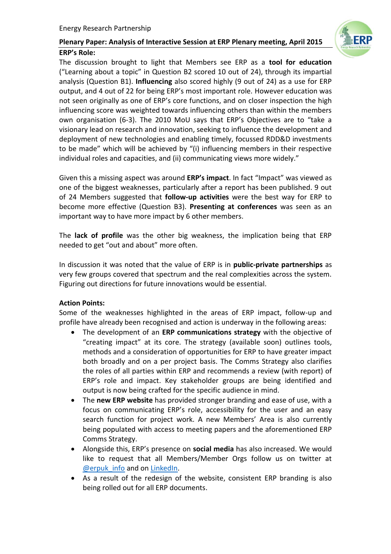

Given this a missing aspect was around **ERP's impact**. In fact "Impact" was viewed as one of the biggest weaknesses, particularly after a report has been published. 9 out of 24 Members suggested that **follow-up activities** were the best way for ERP to become more effective (Question B3). **Presenting at conferences** was seen as an important way to have more impact by 6 other members.

The **lack of profile** was the other big weakness, the implication being that ERP needed to get "out and about" more often.

In discussion it was noted that the value of ERP is in **public-private partnerships** as very few groups covered that spectrum and the real complexities across the system. Figuring out directions for future innovations would be essential.

### **Action Points:**

Some of the weaknesses highlighted in the areas of ERP impact, follow-up and profile have already been recognised and action is underway in the following areas:

- The development of an **ERP communications strategy** with the objective of "creating impact" at its core. The strategy (available soon) outlines tools, methods and a consideration of opportunities for ERP to have greater impact both broadly and on a per project basis. The Comms Strategy also clarifies the roles of all parties within ERP and recommends a review (with report) of ERP's role and impact. Key stakeholder groups are being identified and output is now being crafted for the specific audience in mind.
- The **new ERP website** has provided stronger branding and ease of use, with a focus on communicating ERP's role, accessibility for the user and an easy search function for project work. A new Members' Area is also currently being populated with access to meeting papers and the aforementioned ERP Comms Strategy.
- Alongside this, ERP's presence on **social media** has also increased. We would like to request that all Members/Member Orgs follow us on twitter at [@erpuk\\_info](https://twitter.com/@erpuk_info) and on [LinkedIn.](https://www.linkedin.com/company/energy-research-partnership)
- As a result of the redesign of the website, consistent ERP branding is also being rolled out for all ERP documents.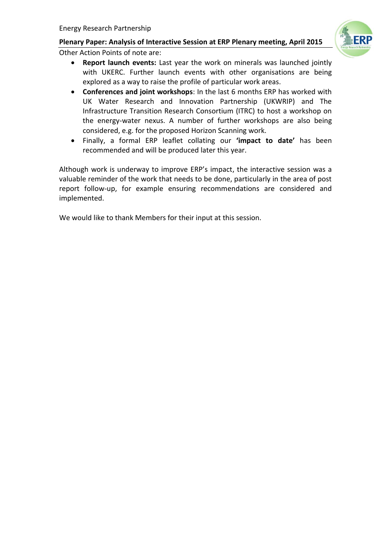

Other Action Points of note are:

- **Report launch events:** Last year the work on minerals was launched jointly with UKERC. Further launch events with other organisations are being explored as a way to raise the profile of particular work areas.
- **Conferences and joint workshops**: In the last 6 months ERP has worked with UK Water Research and Innovation Partnership (UKWRIP) and The Infrastructure Transition Research Consortium (ITRC) to host a workshop on the energy-water nexus. A number of further workshops are also being considered, e.g. for the proposed Horizon Scanning work.
- Finally, a formal ERP leaflet collating our **'impact to date'** has been recommended and will be produced later this year.

Although work is underway to improve ERP's impact, the interactive session was a valuable reminder of the work that needs to be done, particularly in the area of post report follow-up, for example ensuring recommendations are considered and implemented.

We would like to thank Members for their input at this session.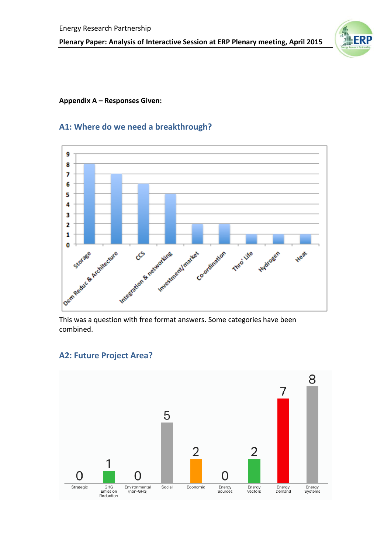

#### **Appendix A – Responses Given:**

# **A1: Where do we need a breakthrough?**



This was a question with free format answers. Some categories have been combined.

### **A2: Future Project Area?**

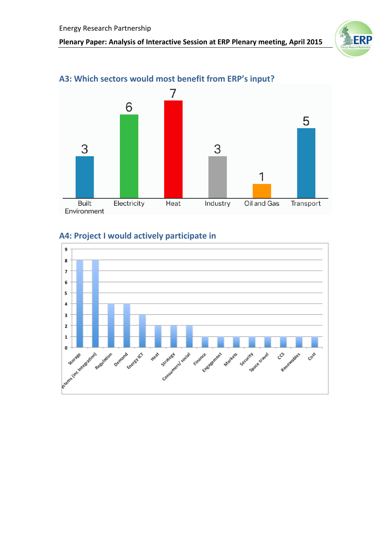



# **A3: Which sectors would most benefit from ERP's input?**

# **A4: Project I would actively participate in**

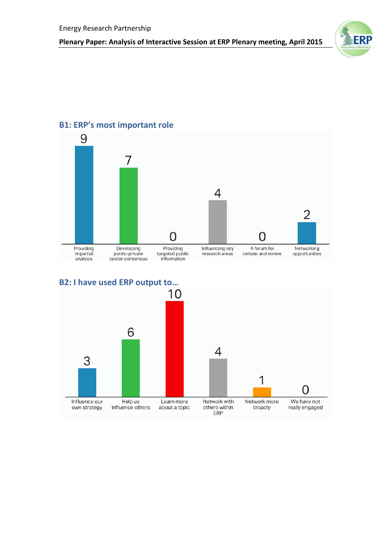



## **B1: ERP's most important role**